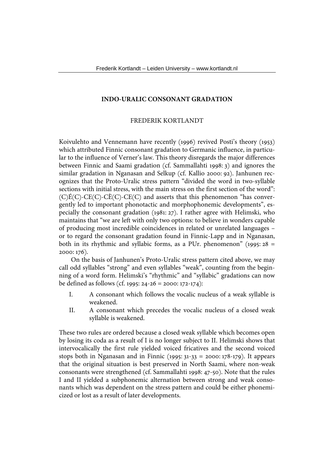### **INDO-URALIC CONSONANT GRADATION**

# FREDERIK KORTLANDT

Koivulehto and Vennemann have recently (1996) revived Posti's theory (1953) which attributed Finnic consonant gradation to Germanic influence, in particular to the influence of Verner's law. This theory disregards the major differences between Finnic and Saami gradation (cf. Sammallahti 1998: 3) and ignores the similar gradation in Nganasan and Selkup (cf. Kallio 2000: 92). Janhunen recognizes that the Proto-Uralic stress pattern "divided the word in two-syllable sections with initial stress, with the main stress on the first section of the word":  $(C)E(C)$ -CE(C)-CE(C)-CE(C) and asserts that this phenomenon "has convergently led to important phonotactic and morphophonemic developments", especially the consonant gradation (1981: 27). I rather agree with Helimski, who maintains that "we are left with only two options: to believe in wonders capable of producing most incredible coincidences in related or unrelated languages – or to regard the consonant gradation found in Finnic-Lapp and in Nganasan, both in its rhythmic and syllabic forms, as a PUr. phenomenon" (1995:  $28 =$ 2000: 176).

On the basis of Janhunen's Proto-Uralic stress pattern cited above, we may call odd syllables "strong" and even syllables "weak", counting from the beginning of a word form. Helimski's "rhythmic" and "syllabic" gradations can now be defined as follows (cf. 1995: 24-26 = 2000: 172-174):

- I. A consonant which follows the vocalic nucleus of a weak syllable is weakened.
- II. A consonant which precedes the vocalic nucleus of a closed weak syllable is weakened.

These two rules are ordered because a closed weak syllable which becomes open by losing its coda as a result of I is no longer subject to II. Helimski shows that intervocalically the first rule yielded voiced fricatives and the second voiced stops both in Nganasan and in Finnic (1995:  $31-33 = 2000$ : 178-179). It appears that the original situation is best preserved in North Saami, where non-weak consonants were strengthened (cf. Sammallahti 1998: 47-50). Note that the rules I and II yielded a subphonemic alternation between strong and weak consonants which was dependent on the stress pattern and could be either phonemicized or lost as a result of later developments.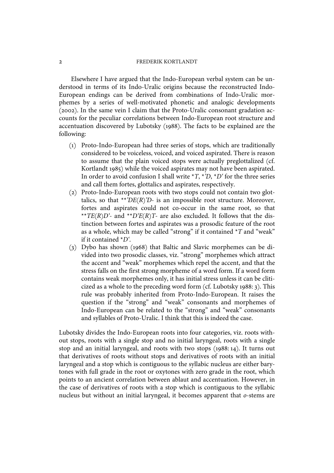#### 2 FREDERIK KORTLANDT

Elsewhere I have argued that the Indo-European verbal system can be understood in terms of its Indo-Uralic origins because the reconstructed Indo-European endings can be derived from combinations of Indo-Uralic morphemes by a series of well-motivated phonetic and analogic developments (2002). In the same vein I claim that the Proto-Uralic consonant gradation accounts for the peculiar correlations between Indo-European root structure and accentuation discovered by Lubotsky (1988). The facts to be explained are the following:

- (1) Proto-Indo-European had three series of stops, which are traditionally considered to be voiceless, voiced, and voiced aspirated. There is reason to assume that the plain voiced stops were actually preglottalized (cf. Kortlandt 1985) while the voiced aspirates may not have been aspirated. In order to avoid confusion I shall write \**T*, \**'D*, \**D'* for the three series and call them fortes, glottalics and aspirates, respectively.
- (2) Proto-Indo-European roots with two stops could not contain two glottalics, so that \*\**'DE(R)'D-* is an impossible root structure. Moreover, fortes and aspirates could not co-occur in the same root, so that \*\**TE(R)D'-* and \*\**D'E(R)T-* are also excluded. It follows that the distinction between fortes and aspirates was a prosodic feature of the root as a whole, which may be called "strong" if it contained \**T* and "weak" if it contained \**D'*.
- (3) Dybo has shown (1968) that Baltic and Slavic morphemes can be divided into two prosodic classes, viz. "strong" morphemes which attract the accent and "weak" morphemes which repel the accent, and that the stress falls on the first strong morpheme of a word form. If a word form contains weak morphemes only, it has initial stress unless it can be cliticized as a whole to the preceding word form (cf. Lubotsky 1988: 3). This rule was probably inherited from Proto-Indo-European. It raises the question if the "strong" and "weak" consonants and morphemes of Indo-European can be related to the "strong" and "weak" consonants and syllables of Proto-Uralic. I think that this is indeed the case.

Lubotsky divides the Indo-European roots into four categories, viz. roots without stops, roots with a single stop and no initial laryngeal, roots with a single stop and an initial laryngeal, and roots with two stops (1988: 14). It turns out that derivatives of roots without stops and derivatives of roots with an initial laryngeal and a stop which is contiguous to the syllabic nucleus are either barytones with full grade in the root or oxytones with zero grade in the root, which points to an ancient correlation between ablaut and accentuation. However, in the case of derivatives of roots with a stop which is contiguous to the syllabic nucleus but without an initial laryngeal, it becomes apparent that *o*-stems are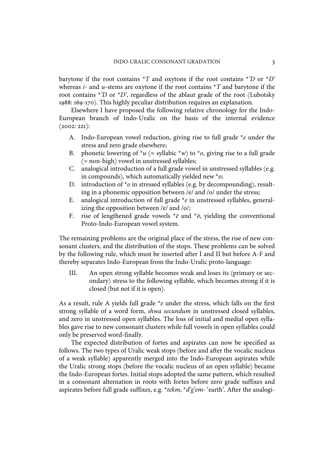barytone if the root contains \**T* and oxytone if the root contains \**'D* or \**D'* whereas *i*- and *u*-stems are oxytone if the root contains \**T* and barytone if the root contains \**'D* or \**D'*, regardless of the ablaut grade of the root (Lubotsky 1988: 169-170). This highly peculiar distribution requires an explanation.

Elsewhere I have proposed the following relative chronology for the Indo-European branch of Indo-Uralic on the basis of the internal evidence (2002: 221):

- A. Indo-European vowel reduction, giving rise to full grade \**e* under the stress and zero grade elsewhere;
- B. phonetic lowering of  $^*u$  (= syllabic  $^*w$ ) to  $^*o$ , giving rise to a full grade (= non-high) vowel in unstressed syllables;
- C. analogical introduction of a full grade vowel in unstressed syllables (e.g. in compounds), which automatically yielded new \**o*;
- D. introduction of  $*$ *o* in stressed syllables (e.g. by decompounding), resulting in a phonemic opposition between /e/ and /o/ under the stress;
- E. analogical introduction of full grade \**e* in unstressed syllables, generalizing the opposition between /e/ and /o/;
- F. rise of lengthened grade vowels  $*{\bar e}$  and  $*{\bar \sigma}$ , yielding the conventional Proto-Indo-European vowel system.

The remaining problems are the original place of the stress, the rise of new consonant clusters, and the distribution of the stops. These problems can be solved by the following rule, which must be inserted after I and II but before A-F and thereby separates Indo-European from the Indo-Uralic proto-language:

III. An open strong syllable becomes weak and loses its (primary or secondary) stress to the following syllable, which becomes strong if it is closed (but not if it is open).

As a result, rule A yields full grade \**e* under the stress, which falls on the first strong syllable of a word form, *shwa secundum* in unstressed closed syllables, and zero in unstressed open syllables. The loss of initial and medial open syllables gave rise to new consonant clusters while full vowels in open syllables could only be preserved word-finally.

The expected distribution of fortes and aspirates can now be specified as follows. The two types of Uralic weak stops (before and after the vocalic nucleus of a weak syllable) apparently merged into the Indo-European aspirates while the Uralic strong stops (before the vocalic nucleus of an open syllable) became the Indo-European fortes. Initial stops adopted the same pattern, which resulted in a consonant alternation in roots with fortes before zero grade suffixes and aspirates before full grade suffixes, e.g. \**tekm*, \**d'g'em-* 'earth'. After the analogi-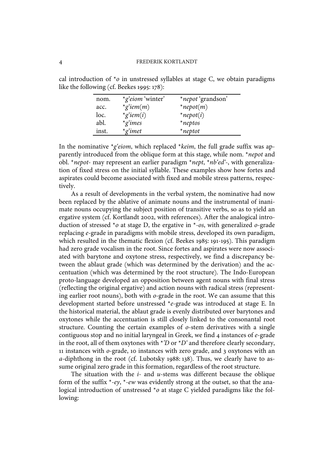#### 4 FREDERIK KORTLANDT

cal introduction of \**o* in unstressed syllables at stage C, we obtain paradigms like the following (cf. Beekes 1995: 178):

| nom.  | <i>*g'eiom 'winter'</i> | <i>*nepot</i> 'grandson' |
|-------|-------------------------|--------------------------|
| acc.  | $*_g$ 'iem $(m)$        | $*_{\text{nepot}(m)}$    |
| loc.  | $*_q$ 'iem $(i)$        | $*_{\text{nepot}(i)}$    |
| abl.  | $*_g$ 'imes             | $*$ neptos               |
| inst. | $*_g$ 'imet             | $*$ neptot               |

In the nominative \**g'eiom*, which replaced \**keim*, the full grade suffix was apparently introduced from the oblique form at this stage, while nom. \**nepot* and obl. \**nepot-* may represent an earlier paradigm \**nept*, \**nb'ed'-*, with generalization of fixed stress on the initial syllable. These examples show how fortes and aspirates could become associated with fixed and mobile stress patterns, respectively.

As a result of developments in the verbal system, the nominative had now been replaced by the ablative of animate nouns and the instrumental of inanimate nouns occupying the subject position of transitive verbs, so as to yield an ergative system (cf. Kortlandt 2002, with references). After the analogical introduction of stressed \**o* at stage D, the ergative in \*-*os*, with generalized *o*-grade replacing *e*-grade in paradigms with mobile stress, developed its own paradigm, which resulted in the thematic flexion (cf. Beekes 1985: 191-195). This paradigm had zero grade vocalism in the root. Since fortes and aspirates were now associated with barytone and oxytone stress, respectively, we find a discrepancy between the ablaut grade (which was determined by the derivation) and the accentuation (which was determined by the root structure). The Indo-European proto-language developed an opposition between agent nouns with final stress (reflecting the original ergative) and action nouns with radical stress (representing earlier root nouns), both with *o*-grade in the root. We can assume that this development started before unstressed \**e*-grade was introduced at stage E. In the historical material, the ablaut grade is evenly distributed over barytones and oxytones while the accentuation is still closely linked to the consonantal root structure. Counting the certain examples of *o*-stem derivatives with a single contiguous stop and no initial laryngeal in Greek, we find 4 instances of *e*-grade in the root, all of them oxytones with \**'D* or \**D'* and therefore clearly secondary, 11 instances with *o*-grade, 10 instances with zero grade, and 3 oxytones with an *a*-diphthong in the root (cf. Lubotsky 1988: 138). Thus, we clearly have to assume original zero grade in this formation, regardless of the root structure.

The situation with the *i*- and *u*-stems was different because the oblique form of the suffix \*-*ey*, \*-*ew* was evidently strong at the outset, so that the analogical introduction of unstressed \**o* at stage C yielded paradigms like the following: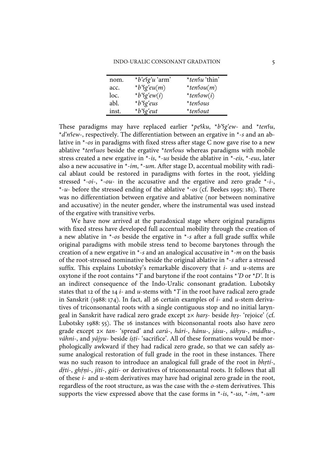| nom.  | $*$ <i>b'esg'u</i> 'arm' | <i>*tensu</i> 'thin' |
|-------|--------------------------|----------------------|
| acc.  | $*$ b'sg'eu(m)           | $*tenYou(m)$         |
| loc.  | $*$ b'sg'ew(i)           | $*tenrow(i)$         |
| abl.  | $*$ b'sg'eus             | $*$ ten $s$ ous      |
| inst. | *b'sg'eut                | $*$ ten $6$ ut       |

These paradigms may have replaced earlier \**peʕku*, \**b'ʕg'ew*- and \**tenʕu*, \**d'nʕew*-, respectively. The differentiation between an ergative in \*-*s* and an ablative in \*-*os* in paradigms with fixed stress after stage C now gave rise to a new ablative \**tenʕuos* beside the ergative \**tenʕous* whereas paradigms with mobile stress created a new ergative in \*-*is*, \*-*us* beside the ablative in \*-*eis*, \*-*eus*, later also a new accusative in \*-*im*, \*-*um*. After stage D, accentual mobility with radical ablaut could be restored in paradigms with fortes in the root, yielding stressed  $*$ -*oi*-,  $*$ -*ou*- in the accusative and the ergative and zero grade  $*$ -*i*-, \*-*u*- before the stressed ending of the ablative \*-*os* (cf. Beekes 1995: 181). There was no differentiation between ergative and ablative (nor between nominative and accusative) in the neuter gender, where the instrumental was used instead of the ergative with transitive verbs.

We have now arrived at the paradoxical stage where original paradigms with fixed stress have developed full accentual mobility through the creation of a new ablative in \*-*os* beside the ergative in \*-*s* after a full grade suffix while original paradigms with mobile stress tend to become barytones through the creation of a new ergative in \*-*s* and an analogical accusative in \*-*m* on the basis of the root-stressed nominative beside the original ablative in \*-*s* after a stressed suffix. This explains Lubotsky's remarkable discovery that *i*- and *u*-stems are oxytone if the root contains \**T* and barytone if the root contains \**'D* or \**D'*. It is an indirect consequence of the Indo-Uralic consonant gradation. Lubotsky states that 12 of the 14  $i$ - and  $u$ -stems with  $*T$  in the root have radical zero grade in Sanskrit (1988: 174). In fact, all 26 certain examples of *i*- and *u*-stem derivatives of triconsonantal roots with a single contiguous stop and no initial laryngeal in Sanskrit have radical zero grade except 2× *harṣ*- beside *hṛṣ*- 'rejoice' (cf. Lubotsky 1988: 55). The 16 instances with biconsonantal roots also have zero grade except 2× *tan*- 'spread' and *carú*-, *hári*-, *hánu*-, *jásu*-, *sáhyu*-, *mádhu*-, *váhni*-, and *yájyu*- beside *ísti*- 'sacrifice'. All of these formations would be morphologically awkward if they had radical zero grade, so that we can safely assume analogical restoration of full grade in the root in these instances. There was no such reason to introduce an analogical full grade of the root in *bhṛtí*-, *dṛ́ti*-, *ghṛ́ṇi*-, *jíti*-, *gáti*- or derivatives of triconsonantal roots. It follows that all of these *i*- and *u-*stem derivatives may have had original zero grade in the root, regardless of the root structure, as was the case with the *o*-stem derivatives. This supports the view expressed above that the case forms in \*-*is*, \*-*us*, \*-*im*, \*-*um*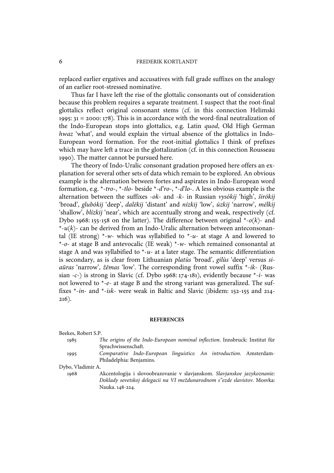### 6 FREDERIK KORTLANDT

replaced earlier ergatives and accusatives with full grade suffixes on the analogy of an earlier root-stressed nominative.

Thus far I have left the rise of the glottalic consonants out of consideration because this problem requires a separate treatment. I suspect that the root-final glottalics reflect original consonant stems (cf. in this connection Helimski 1995: 31 = 2000: 178). This is in accordance with the word-final neutralization of the Indo-European stops into glottalics, e.g. Latin *quod*, Old High German *hwaz* 'what', and would explain the virtual absence of the glottalics in Indo-European word formation. For the root-initial glottalics I think of prefixes which may have left a trace in the glottalization (cf. in this connection Rousseau 1990). The matter cannot be pursued here.

The theory of Indo-Uralic consonant gradation proposed here offers an explanation for several other sets of data which remain to be explored. An obvious example is the alternation between fortes and aspirates in Indo-European word formation, e.g. \*-*tro*-, \*-*tlo*- beside \*-*d'ro*-, \*-*d'lo*-. A less obvious example is the alternation between the suffixes -*ok*- and -*k*- in Russian *vysókij* 'high', *širókij* 'broad', *glubókij* 'deep', *dalëkij* 'distant' and *nízkij* 'low', *úzkij* 'narrow', *mélkij* 'shallow', *blízkij* 'near', which are accentually strong and weak, respectively (cf. Dybo 1968: 155-158 on the latter). The difference between original  $*$ - $o(k)$ - and  $*$ - $u(k)$ - can be derived from an Indo-Uralic alternation between anteconsonantal (IE strong)  $*$ -*w*- which was syllabified to  $*$ -*u*- at stage A and lowered to \*-*o*- at stage B and antevocalic (IE weak) \*-*w*- which remained consonantal at stage A and was syllabified to  $*$ - $u$ - at a later stage. The semantic differentiation is secondary, as is clear from Lithuanian *platùs* 'broad', *gilùs* 'deep' versus *siaũras* 'narrow', *žẽmas* 'low'. The corresponding front vowel suffix \*-*ik*- (Russian -*c*-) is strong in Slavic (cf. Dybo 1968: 174-181), evidently because \*-*i*- was not lowered to \*-*e*- at stage B and the strong variant was generalized. The suffixes \*-*in*- and \*-*isk*- were weak in Baltic and Slavic (ibidem: 152-155 and 214- 216).

## **REFERENCES**

|                     | REFERENCES                                                                                                                                             |
|---------------------|--------------------------------------------------------------------------------------------------------------------------------------------------------|
| Beekes, Robert S.P. |                                                                                                                                                        |
| 1985                | The origins of the Indo-European nominal inflection. Innsbruck: Institut für<br>Sprachwissenschaft.                                                    |
| 1995                | Comparative Indo-European linguistics: An introduction. Amsterdam-<br>Philadelphia: Benjamins.                                                         |
| Dybo, Vladimir A.   |                                                                                                                                                        |
| 1968                | Akcentologija i slovoobrazovanie v slavjanskom. Slavjanskoe jazykoznanie:<br>Doklady sovetskoj delegacii na VI meždunarodnom s"ezde slavistov. Mosvka: |

Nauka. 148-224.